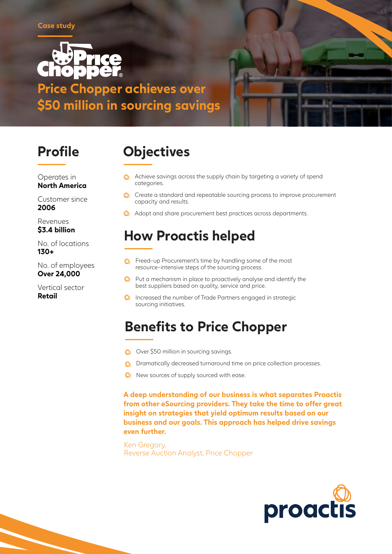

**Price Chopper achieves over \$50 million in sourcing savings**



Operates in **North America**

Customer since **2006**

Revenues **\$3.4 billion**

No. of locations **130+**

No. of employees **Over 24,000**

Vertical sector **Retail**

# **Profile Objectives**

- **C** Achieve savings across the supply chain by targeting a variety of spend categories.
- Create a standard and repeatable sourcing process to improve procurement capacity and results.
- $\bigcirc$  Adopt and share procurement best practices across departments.

### **How Proactis helped**

- **C** Freed-up Procurement's time by handling some of the most resource-intensive steps of the sourcing process.
- **O** Put a mechanism in place to proactively analyse and identify the best suppliers based on quality, service and price.
- **Increased the number of Trade Partners engaged in strategic** sourcing initiatives.

### **Benefits to Price Chopper**

- Over \$50 million in sourcing savings.
- **C** Dramatically decreased turnaround time on price collection processes.
- **W** New sources of supply sourced with ease.

**A deep understanding of our business is what separates Proactis from other eSourcing providers. They take the time to offer great insight on strategies that yield optimum results based on our business and our goals. This approach has helped drive savings even further.**

Ken Gregory, Reverse Auction Analyst, Price Chopper